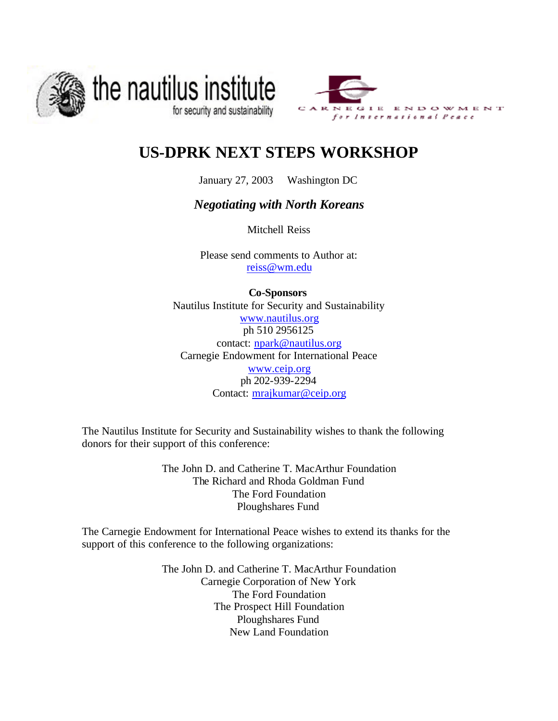



# **US-DPRK NEXT STEPS WORKSHOP**

January 27, 2003 Washington DC

## *Negotiating with North Koreans*

Mitchell Reiss

Please send comments to Author at: reiss@wm.edu

**Co-Sponsors** Nautilus Institute for Security and Sustainability www.nautilus.org ph 510 2956125 contact: npark@nautilus.org Carnegie Endowment for International Peace www.ceip.org ph 202-939-2294 Contact: mrajkumar@ceip.org

The Nautilus Institute for Security and Sustainability wishes to thank the following donors for their support of this conference:

> The John D. and Catherine T. MacArthur Foundation The Richard and Rhoda Goldman Fund The Ford Foundation Ploughshares Fund

The Carnegie Endowment for International Peace wishes to extend its thanks for the support of this conference to the following organizations:

> The John D. and Catherine T. MacArthur Foundation Carnegie Corporation of New York The Ford Foundation The Prospect Hill Foundation Ploughshares Fund New Land Foundation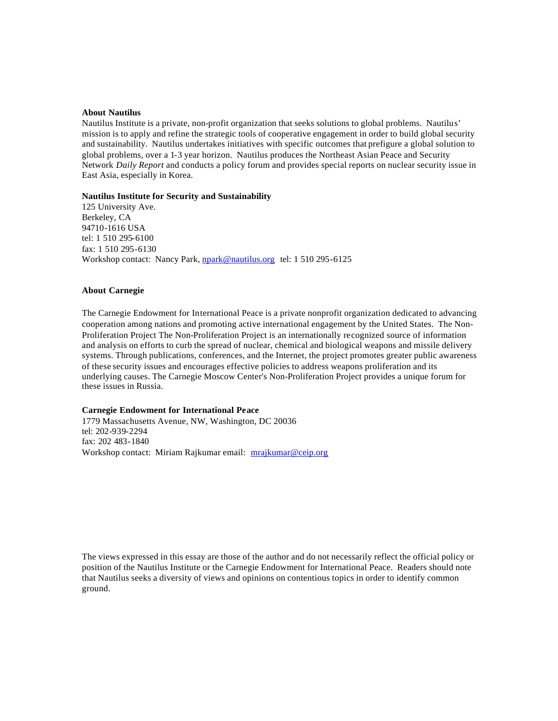#### **About Nautilus**

Nautilus Institute is a private, non-profit organization that seeks solutions to global problems. Nautilus' mission is to apply and refine the strategic tools of cooperative engagement in order to build global security and sustainability*.* Nautilus undertakes initiatives with specific outcomes that prefigure a global solution to global problems, over a 1-3 year horizon. Nautilus produces the Northeast Asian Peace and Security Network *Daily Report* and conducts a policy forum and provides special reports on nuclear security issue in East Asia, especially in Korea.

#### **Nautilus Institute for Security and Sustainability**

125 University Ave. Berkeley, CA 94710-1616 USA tel: 1 510 295-6100 fax: 1 510 295-6130 Workshop contact: Nancy Park, npark@nautilus.org tel: 1 510 295-6125

#### **About Carnegie**

The Carnegie Endowment for International Peace is a private nonprofit organization dedicated to advancing cooperation among nations and promoting active international engagement by the United States. The Non-Proliferation Project The Non-Proliferation Project is an internationally recognized source of information and analysis on efforts to curb the spread of nuclear, chemical and biological weapons and missile delivery systems. Through publications, conferences, and the Internet, the project promotes greater public awareness of these security issues and encourages effective policies to address weapons proliferation and its underlying causes. The Carnegie Moscow Center's Non-Proliferation Project provides a unique forum for these issues in Russia.

#### **Carnegie Endowment for International Peace**

1779 Massachusetts Avenue, NW, Washington, DC 20036 tel: 202-939-2294 fax: 202 483-1840 Workshop contact: Miriam Rajkumar email: mrajkumar@ceip.org

The views expressed in this essay are those of the author and do not necessarily reflect the official policy or position of the Nautilus Institute or the Carnegie Endowment for International Peace. Readers should note that Nautilus seeks a diversity of views and opinions on contentious topics in order to identify common ground.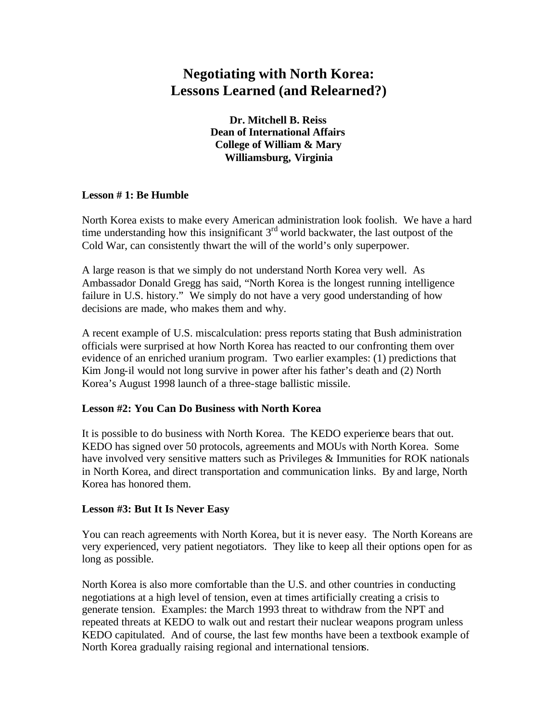# **Negotiating with North Korea: Lessons Learned (and Relearned?)**

**Dr. Mitchell B. Reiss Dean of International Affairs College of William & Mary Williamsburg, Virginia**

### **Lesson # 1: Be Humble**

North Korea exists to make every American administration look foolish. We have a hard time understanding how this insignificant  $3<sup>rd</sup>$  world backwater, the last outpost of the Cold War, can consistently thwart the will of the world's only superpower.

A large reason is that we simply do not understand North Korea very well. As Ambassador Donald Gregg has said, "North Korea is the longest running intelligence failure in U.S. history." We simply do not have a very good understanding of how decisions are made, who makes them and why.

A recent example of U.S. miscalculation: press reports stating that Bush administration officials were surprised at how North Korea has reacted to our confronting them over evidence of an enriched uranium program. Two earlier examples: (1) predictions that Kim Jong-il would not long survive in power after his father's death and (2) North Korea's August 1998 launch of a three-stage ballistic missile.

### **Lesson #2: You Can Do Business with North Korea**

It is possible to do business with North Korea. The KEDO experience bears that out. KEDO has signed over 50 protocols, agreements and MOUs with North Korea. Some have involved very sensitive matters such as Privileges & Immunities for ROK nationals in North Korea, and direct transportation and communication links. By and large, North Korea has honored them.

#### **Lesson #3: But It Is Never Easy**

You can reach agreements with North Korea, but it is never easy. The North Koreans are very experienced, very patient negotiators. They like to keep all their options open for as long as possible.

North Korea is also more comfortable than the U.S. and other countries in conducting negotiations at a high level of tension, even at times artificially creating a crisis to generate tension. Examples: the March 1993 threat to withdraw from the NPT and repeated threats at KEDO to walk out and restart their nuclear weapons program unless KEDO capitulated. And of course, the last few months have been a textbook example of North Korea gradually raising regional and international tensions.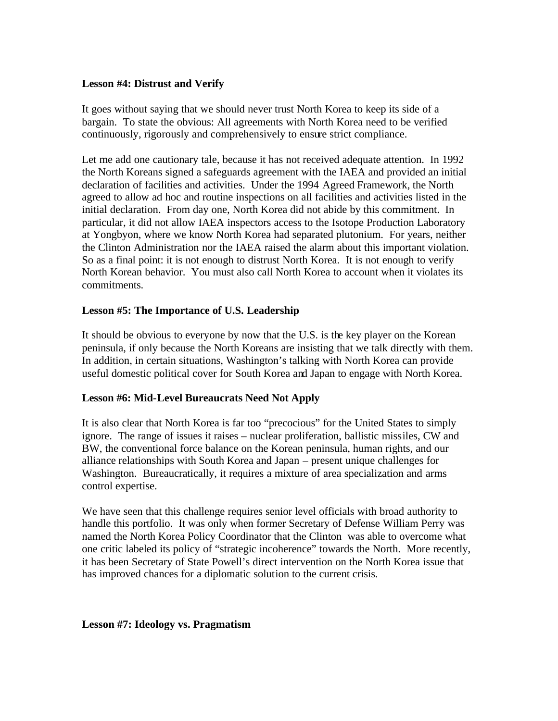#### **Lesson #4: Distrust and Verify**

It goes without saying that we should never trust North Korea to keep its side of a bargain. To state the obvious: All agreements with North Korea need to be verified continuously, rigorously and comprehensively to ensure strict compliance.

Let me add one cautionary tale, because it has not received adequate attention. In 1992 the North Koreans signed a safeguards agreement with the IAEA and provided an initial declaration of facilities and activities. Under the 1994 Agreed Framework, the North agreed to allow ad hoc and routine inspections on all facilities and activities listed in the initial declaration. From day one, North Korea did not abide by this commitment. In particular, it did not allow IAEA inspectors access to the Isotope Production Laboratory at Yongbyon, where we know North Korea had separated plutonium. For years, neither the Clinton Administration nor the IAEA raised the alarm about this important violation. So as a final point: it is not enough to distrust North Korea. It is not enough to verify North Korean behavior. You must also call North Korea to account when it violates its commitments.

#### **Lesson #5: The Importance of U.S. Leadership**

It should be obvious to everyone by now that the U.S. is the key player on the Korean peninsula, if only because the North Koreans are insisting that we talk directly with them. In addition, in certain situations, Washington's talking with North Korea can provide useful domestic political cover for South Korea and Japan to engage with North Korea.

#### **Lesson #6: Mid-Level Bureaucrats Need Not Apply**

It is also clear that North Korea is far too "precocious" for the United States to simply ignore. The range of issues it raises – nuclear proliferation, ballistic missiles, CW and BW, the conventional force balance on the Korean peninsula, human rights, and our alliance relationships with South Korea and Japan – present unique challenges for Washington. Bureaucratically, it requires a mixture of area specialization and arms control expertise.

We have seen that this challenge requires senior level officials with broad authority to handle this portfolio. It was only when former Secretary of Defense William Perry was named the North Korea Policy Coordinator that the Clinton was able to overcome what one critic labeled its policy of "strategic incoherence" towards the North. More recently, it has been Secretary of State Powell's direct intervention on the North Korea issue that has improved chances for a diplomatic solution to the current crisis.

#### **Lesson #7: Ideology vs. Pragmatism**